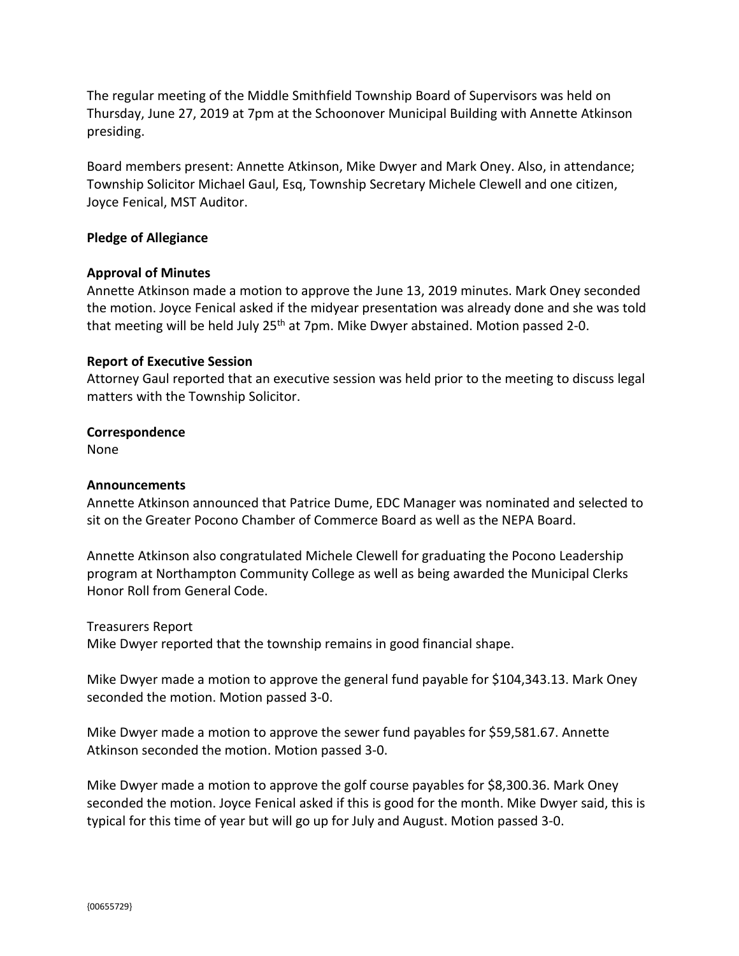The regular meeting of the Middle Smithfield Township Board of Supervisors was held on Thursday, June 27, 2019 at 7pm at the Schoonover Municipal Building with Annette Atkinson presiding.

Board members present: Annette Atkinson, Mike Dwyer and Mark Oney. Also, in attendance; Township Solicitor Michael Gaul, Esq, Township Secretary Michele Clewell and one citizen, Joyce Fenical, MST Auditor.

### **Pledge of Allegiance**

### **Approval of Minutes**

Annette Atkinson made a motion to approve the June 13, 2019 minutes. Mark Oney seconded the motion. Joyce Fenical asked if the midyear presentation was already done and she was told that meeting will be held July 25<sup>th</sup> at 7pm. Mike Dwyer abstained. Motion passed 2-0.

### **Report of Executive Session**

Attorney Gaul reported that an executive session was held prior to the meeting to discuss legal matters with the Township Solicitor.

### **Correspondence**

None

### **Announcements**

Annette Atkinson announced that Patrice Dume, EDC Manager was nominated and selected to sit on the Greater Pocono Chamber of Commerce Board as well as the NEPA Board.

Annette Atkinson also congratulated Michele Clewell for graduating the Pocono Leadership program at Northampton Community College as well as being awarded the Municipal Clerks Honor Roll from General Code.

Treasurers Report Mike Dwyer reported that the township remains in good financial shape.

Mike Dwyer made a motion to approve the general fund payable for \$104,343.13. Mark Oney seconded the motion. Motion passed 3-0.

Mike Dwyer made a motion to approve the sewer fund payables for \$59,581.67. Annette Atkinson seconded the motion. Motion passed 3-0.

Mike Dwyer made a motion to approve the golf course payables for \$8,300.36. Mark Oney seconded the motion. Joyce Fenical asked if this is good for the month. Mike Dwyer said, this is typical for this time of year but will go up for July and August. Motion passed 3-0.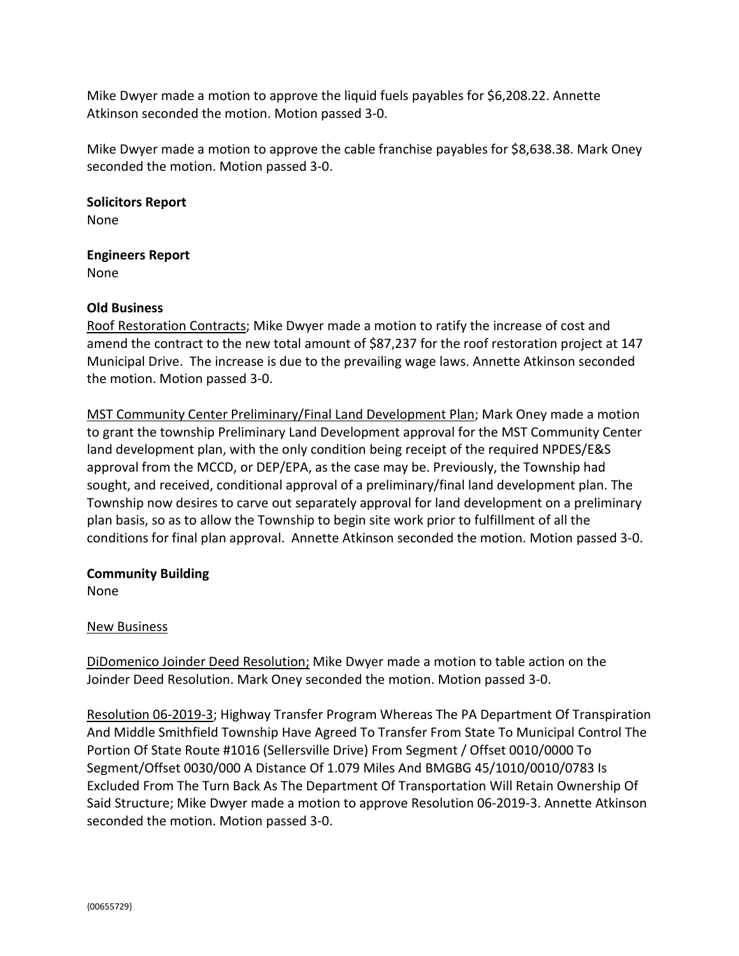Mike Dwyer made a motion to approve the liquid fuels payables for \$6,208.22. Annette Atkinson seconded the motion. Motion passed 3-0.

Mike Dwyer made a motion to approve the cable franchise payables for \$8,638.38. Mark Oney seconded the motion. Motion passed 3-0.

**Solicitors Report** None

**Engineers Report** None

# **Old Business**

Roof Restoration Contracts; Mike Dwyer made a motion to ratify the increase of cost and amend the contract to the new total amount of \$87,237 for the roof restoration project at 147 Municipal Drive. The increase is due to the prevailing wage laws. Annette Atkinson seconded the motion. Motion passed 3-0.

MST Community Center Preliminary/Final Land Development Plan; Mark Oney made a motion to grant the township Preliminary Land Development approval for the MST Community Center land development plan, with the only condition being receipt of the required NPDES/E&S approval from the MCCD, or DEP/EPA, as the case may be. Previously, the Township had sought, and received, conditional approval of a preliminary/final land development plan. The Township now desires to carve out separately approval for land development on a preliminary plan basis, so as to allow the Township to begin site work prior to fulfillment of all the conditions for final plan approval. Annette Atkinson seconded the motion. Motion passed 3-0.

# **Community Building**

None

# New Business

DiDomenico Joinder Deed Resolution; Mike Dwyer made a motion to table action on the Joinder Deed Resolution. Mark Oney seconded the motion. Motion passed 3-0.

Resolution 06-2019-3; Highway Transfer Program Whereas The PA Department Of Transpiration And Middle Smithfield Township Have Agreed To Transfer From State To Municipal Control The Portion Of State Route #1016 (Sellersville Drive) From Segment / Offset 0010/0000 To Segment/Offset 0030/000 A Distance Of 1.079 Miles And BMGBG 45/1010/0010/0783 Is Excluded From The Turn Back As The Department Of Transportation Will Retain Ownership Of Said Structure; Mike Dwyer made a motion to approve Resolution 06-2019-3. Annette Atkinson seconded the motion. Motion passed 3-0.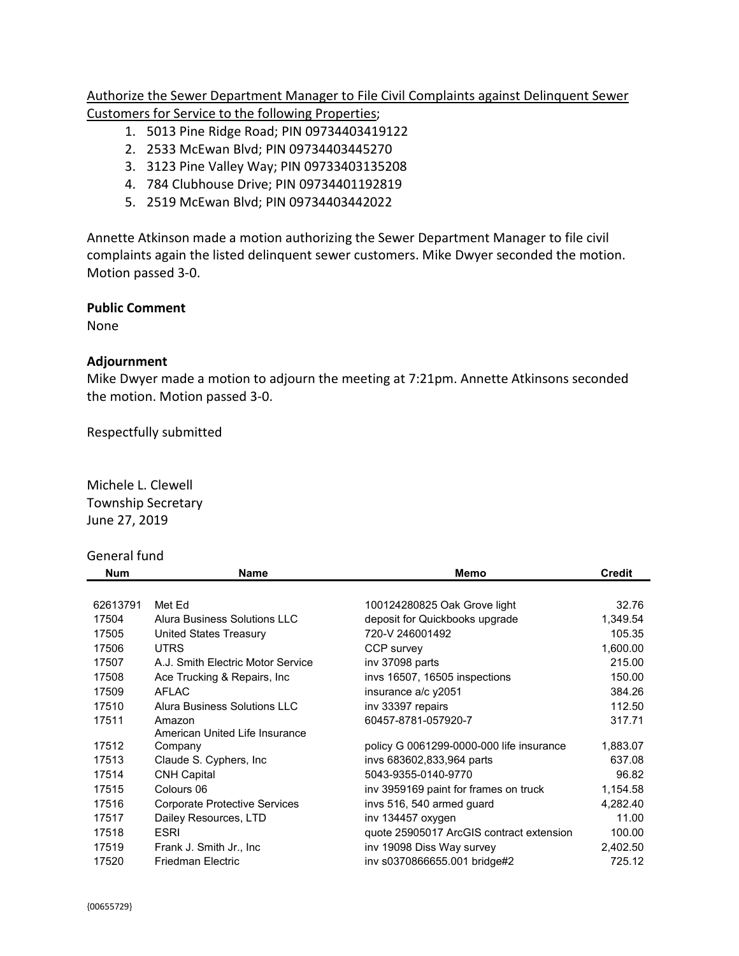Authorize the Sewer Department Manager to File Civil Complaints against Delinquent Sewer Customers for Service to the following Properties;

- 1. 5013 Pine Ridge Road; PIN 09734403419122
- 2. 2533 McEwan Blvd; PIN 09734403445270
- 3. 3123 Pine Valley Way; PIN 09733403135208
- 4. 784 Clubhouse Drive; PIN 09734401192819
- 5. 2519 McEwan Blvd; PIN 09734403442022

Annette Atkinson made a motion authorizing the Sewer Department Manager to file civil complaints again the listed delinquent sewer customers. Mike Dwyer seconded the motion. Motion passed 3-0.

**Public Comment**

None

### **Adjournment**

Mike Dwyer made a motion to adjourn the meeting at 7:21pm. Annette Atkinsons seconded the motion. Motion passed 3-0.

Respectfully submitted

Michele L. Clewell Township Secretary June 27, 2019

# General fund

| Num      | <b>Name</b>                          | Memo                                     | <b>Credit</b> |
|----------|--------------------------------------|------------------------------------------|---------------|
|          |                                      |                                          |               |
| 62613791 | Met Ed                               | 100124280825 Oak Grove light             | 32.76         |
| 17504    | Alura Business Solutions LLC         | deposit for Quickbooks upgrade           | 1,349.54      |
| 17505    | United States Treasury               | 720-V 246001492                          | 105.35        |
| 17506    | <b>UTRS</b>                          | CCP survey                               | 1,600.00      |
| 17507    | A.J. Smith Electric Motor Service    | inv 37098 parts                          | 215.00        |
| 17508    | Ace Trucking & Repairs, Inc.         | invs 16507, 16505 inspections            | 150.00        |
| 17509    | <b>AFLAC</b>                         | insurance a/c y2051                      | 384.26        |
| 17510    | Alura Business Solutions LLC         | inv 33397 repairs                        | 112.50        |
| 17511    | Amazon                               | 60457-8781-057920-7                      | 317.71        |
|          | American United Life Insurance       |                                          |               |
| 17512    | Company                              | policy G 0061299-0000-000 life insurance | 1,883.07      |
| 17513    | Claude S. Cyphers, Inc.              | invs 683602,833,964 parts                | 637.08        |
| 17514    | <b>CNH Capital</b>                   | 5043-9355-0140-9770                      | 96.82         |
| 17515    | Colours 06                           | inv 3959169 paint for frames on truck    | 1,154.58      |
| 17516    | <b>Corporate Protective Services</b> | invs 516, 540 armed guard                | 4,282.40      |
| 17517    | Dailey Resources, LTD                | inv 134457 oxygen                        | 11.00         |
| 17518    | <b>ESRI</b>                          | quote 25905017 ArcGIS contract extension | 100.00        |
| 17519    | Frank J. Smith Jr., Inc.             | inv 19098 Diss Way survey                | 2,402.50      |
| 17520    | <b>Friedman Electric</b>             | inv s0370866655.001 bridge#2             | 725.12        |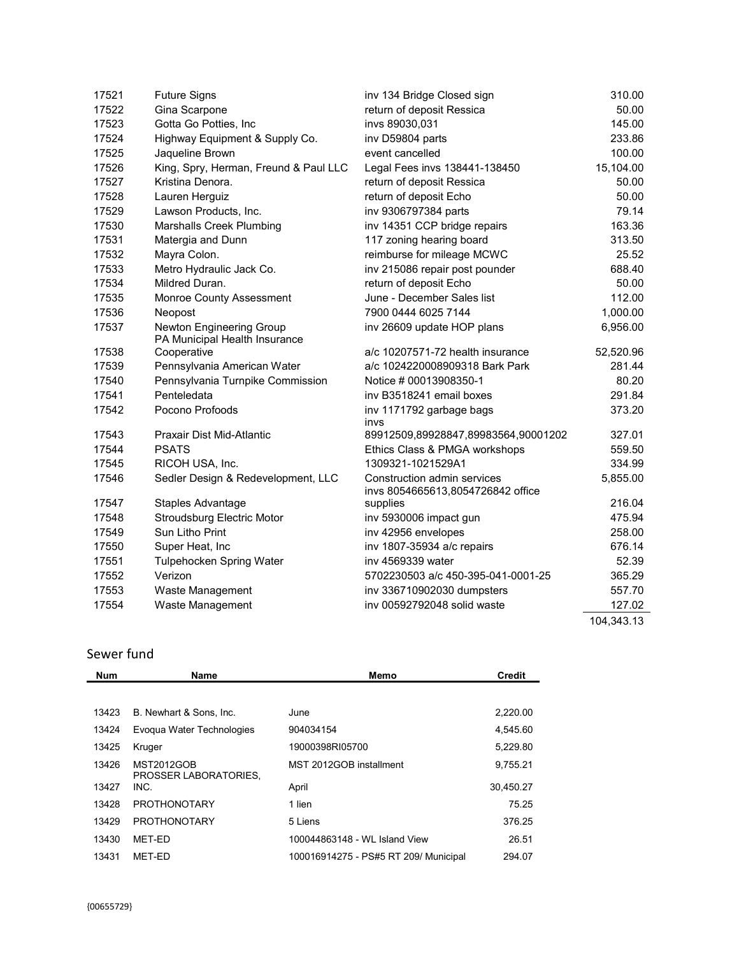| 17521 | <b>Future Signs</b>                                       | inv 134 Bridge Closed sign                                       | 310.00     |
|-------|-----------------------------------------------------------|------------------------------------------------------------------|------------|
| 17522 | Gina Scarpone                                             | return of deposit Ressica                                        | 50.00      |
| 17523 | Gotta Go Potties, Inc                                     | invs 89030,031                                                   | 145.00     |
| 17524 | Highway Equipment & Supply Co.                            | inv D59804 parts                                                 | 233.86     |
| 17525 | Jaqueline Brown                                           | event cancelled                                                  | 100.00     |
| 17526 | King, Spry, Herman, Freund & Paul LLC                     | Legal Fees invs 138441-138450                                    | 15,104.00  |
| 17527 | Kristina Denora.                                          | return of deposit Ressica                                        | 50.00      |
| 17528 | Lauren Herguiz                                            | return of deposit Echo                                           | 50.00      |
| 17529 | Lawson Products, Inc.                                     | inv 9306797384 parts                                             | 79.14      |
| 17530 | <b>Marshalls Creek Plumbing</b>                           | inv 14351 CCP bridge repairs                                     | 163.36     |
| 17531 | Matergia and Dunn                                         | 117 zoning hearing board                                         | 313.50     |
| 17532 | Mayra Colon.                                              | reimburse for mileage MCWC                                       | 25.52      |
| 17533 | Metro Hydraulic Jack Co.                                  | inv 215086 repair post pounder                                   | 688.40     |
| 17534 | Mildred Duran.                                            | return of deposit Echo                                           | 50.00      |
| 17535 | Monroe County Assessment                                  | June - December Sales list                                       | 112.00     |
| 17536 | Neopost                                                   | 7900 0444 6025 7144                                              | 1,000.00   |
| 17537 | Newton Engineering Group<br>PA Municipal Health Insurance | inv 26609 update HOP plans                                       | 6,956.00   |
| 17538 | Cooperative                                               | a/c 10207571-72 health insurance                                 | 52,520.96  |
| 17539 | Pennsylvania American Water                               | a/c 1024220008909318 Bark Park                                   | 281.44     |
| 17540 | Pennsylvania Turnpike Commission                          | Notice # 00013908350-1                                           | 80.20      |
| 17541 | Penteledata                                               | inv B3518241 email boxes                                         | 291.84     |
| 17542 | Pocono Profoods                                           | inv 1171792 garbage bags<br>invs                                 | 373.20     |
| 17543 | Praxair Dist Mid-Atlantic                                 | 89912509,89928847,89983564,90001202                              | 327.01     |
| 17544 | <b>PSATS</b>                                              | Ethics Class & PMGA workshops                                    | 559.50     |
| 17545 | RICOH USA, Inc.                                           | 1309321-1021529A1                                                | 334.99     |
| 17546 | Sedler Design & Redevelopment, LLC                        | Construction admin services<br>invs 8054665613,8054726842 office | 5,855.00   |
| 17547 | Staples Advantage                                         | supplies                                                         | 216.04     |
| 17548 | <b>Stroudsburg Electric Motor</b>                         | inv 5930006 impact gun                                           | 475.94     |
| 17549 | Sun Litho Print                                           | inv 42956 envelopes                                              | 258.00     |
| 17550 | Super Heat, Inc                                           | inv 1807-35934 a/c repairs                                       | 676.14     |
| 17551 | Tulpehocken Spring Water                                  | iny 4569339 water                                                | 52.39      |
| 17552 | Verizon                                                   | 5702230503 a/c 450-395-041-0001-25                               | 365.29     |
| 17553 | Waste Management                                          | inv 336710902030 dumpsters                                       | 557.70     |
| 17554 | Waste Management                                          | inv 00592792048 solid waste                                      | 127.02     |
|       |                                                           |                                                                  | 104,343.13 |

# Sewer fund

| <b>Num</b> | Name                                       | Memo                                  | <b>Credit</b> |
|------------|--------------------------------------------|---------------------------------------|---------------|
|            |                                            |                                       |               |
| 13423      | B. Newhart & Sons. Inc.                    | June                                  | 2,220.00      |
| 13424      | Evoqua Water Technologies                  | 904034154                             | 4.545.60      |
| 13425      | Kruger                                     | 19000398RI05700                       | 5,229.80      |
| 13426      | <b>MST2012GOB</b><br>PROSSER LABORATORIES. | MST 2012GOB installment               | 9,755.21      |
| 13427      | INC.                                       | April                                 | 30,450.27     |
| 13428      | <b>PROTHONOTARY</b>                        | 1 lien                                | 75.25         |
| 13429      | <b>PROTHONOTARY</b>                        | 5 Liens                               | 376.25        |
| 13430      | MET-ED                                     | 100044863148 - WL Island View         | 26.51         |
| 13431      | MET-ED                                     | 100016914275 - PS#5 RT 209/ Municipal | 294.07        |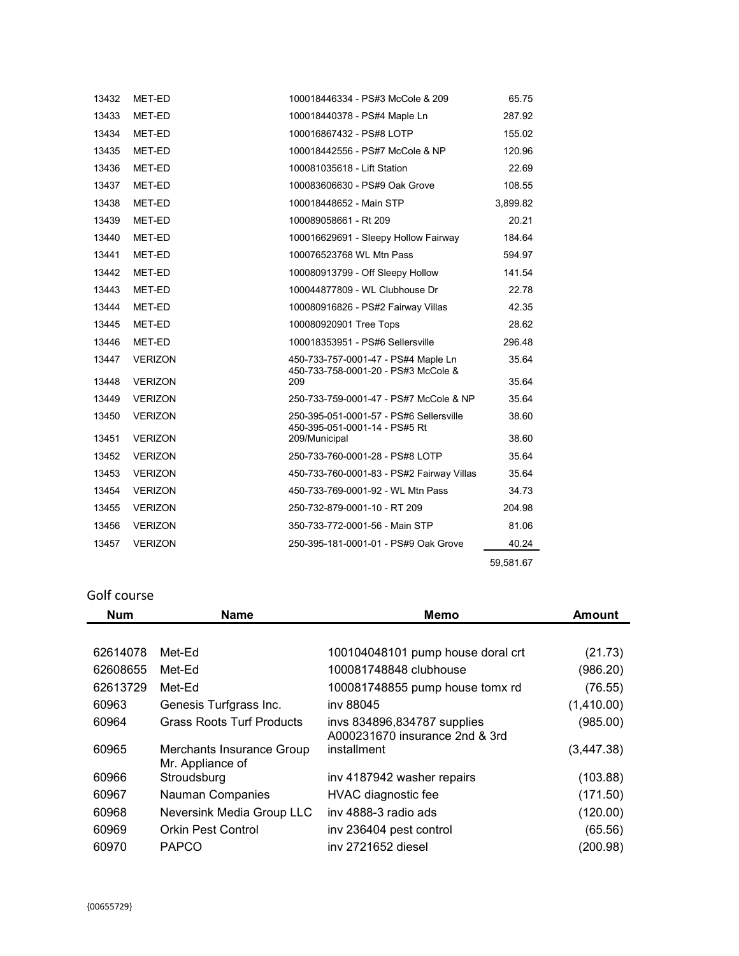| 13432 | MET-ED         | 100018446334 - PS#3 McCole & 209                                           | 65.75     |
|-------|----------------|----------------------------------------------------------------------------|-----------|
| 13433 | MET-ED         | 100018440378 - PS#4 Maple Ln                                               | 287.92    |
| 13434 | MET-ED         | 100016867432 - PS#8 LOTP                                                   | 155.02    |
| 13435 | MET-ED         | 100018442556 - PS#7 McCole & NP                                            | 120.96    |
| 13436 | MET-ED         | 100081035618 - Lift Station                                                | 22.69     |
| 13437 | MET-ED         | 100083606630 - PS#9 Oak Grove                                              | 108.55    |
| 13438 | MET-ED         | 100018448652 - Main STP                                                    | 3,899.82  |
| 13439 | MET-ED         | 100089058661 - Rt 209                                                      | 20.21     |
| 13440 | MET-ED         | 100016629691 - Sleepy Hollow Fairway                                       | 184.64    |
| 13441 | MET-ED         | 100076523768 WL Mtn Pass                                                   | 594.97    |
| 13442 | MET-ED         | 100080913799 - Off Sleepy Hollow                                           | 141.54    |
| 13443 | MET-ED         | 100044877809 - WL Clubhouse Dr                                             | 22.78     |
| 13444 | MET-ED         | 100080916826 - PS#2 Fairway Villas                                         | 42.35     |
| 13445 | MET-ED         | 100080920901 Tree Tops                                                     | 28.62     |
| 13446 | MET-ED         | 100018353951 - PS#6 Sellersville                                           | 296.48    |
| 13447 | <b>VERIZON</b> | 450-733-757-0001-47 - PS#4 Maple Ln<br>450-733-758-0001-20 - PS#3 McCole & | 35.64     |
| 13448 | <b>VERIZON</b> | 209                                                                        | 35.64     |
| 13449 | <b>VERIZON</b> | 250-733-759-0001-47 - PS#7 McCole & NP                                     | 35.64     |
| 13450 | <b>VERIZON</b> | 250-395-051-0001-57 - PS#6 Sellersville<br>450-395-051-0001-14 - PS#5 Rt   | 38.60     |
| 13451 | <b>VERIZON</b> | 209/Municipal                                                              | 38.60     |
| 13452 | <b>VERIZON</b> | 250-733-760-0001-28 - PS#8 LOTP                                            | 35.64     |
| 13453 | <b>VERIZON</b> | 450-733-760-0001-83 - PS#2 Fairway Villas                                  | 35.64     |
| 13454 | <b>VERIZON</b> | 450-733-769-0001-92 - WL Mtn Pass                                          | 34.73     |
| 13455 | <b>VERIZON</b> | 250-732-879-0001-10 - RT 209                                               | 204.98    |
| 13456 | <b>VERIZON</b> | 350-733-772-0001-56 - Main STP                                             | 81.06     |
| 13457 | <b>VERIZON</b> | 250-395-181-0001-01 - PS#9 Oak Grove                                       | 40.24     |
|       |                |                                                                            | 59,581.67 |

# Golf course

| <b>Num</b> | <b>Name</b>                                   | <b>Memo</b>                       | <b>Amount</b> |
|------------|-----------------------------------------------|-----------------------------------|---------------|
|            |                                               |                                   |               |
| 62614078   | Met-Ed                                        | 100104048101 pump house doral crt | (21.73)       |
| 62608655   | Met-Ed                                        | 100081748848 clubhouse            | (986.20)      |
| 62613729   | Met-Ed                                        | 100081748855 pump house tomx rd   | (76.55)       |
| 60963      | Genesis Turfgrass Inc.                        | iny 88045                         | (1,410.00)    |
| 60964      | <b>Grass Roots Turf Products</b>              | invs 834896,834787 supplies       | (985.00)      |
|            |                                               | A000231670 insurance 2nd & 3rd    |               |
| 60965      | Merchants Insurance Group<br>Mr. Appliance of | installment                       | (3, 447.38)   |
| 60966      | Stroudsburg                                   | inv 4187942 washer repairs        | (103.88)      |
| 60967      | Nauman Companies                              | HVAC diagnostic fee               | (171.50)      |
| 60968      | Neversink Media Group LLC                     | iny 4888-3 radio ads              | (120.00)      |
| 60969      | <b>Orkin Pest Control</b>                     | inv 236404 pest control           | (65.56)       |
| 60970      | <b>PAPCO</b>                                  | iny 2721652 diesel                | (200.98)      |